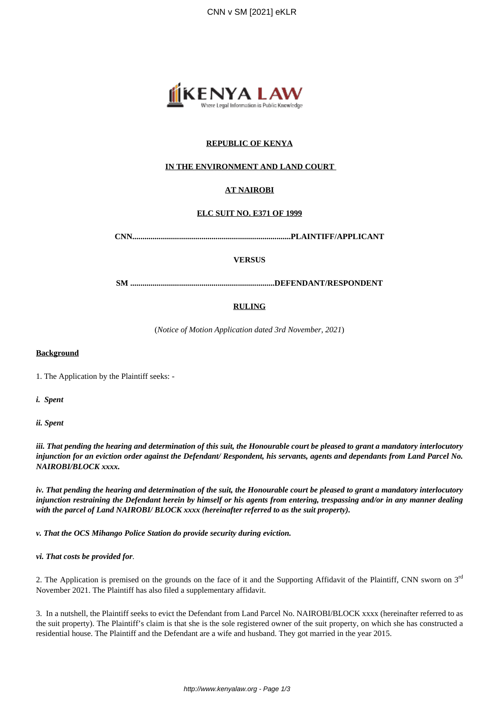

# **REPUBLIC OF KENYA**

# **IN THE ENVIRONMENT AND LAND COURT**

# **AT NAIROBI**

# **ELC SUIT NO. E371 OF 1999**

**CNN..............................................................................PLAINTIFF/APPLICANT**

#### **VERSUS**

**SM .......................................................................DEFENDANT/RESPONDENT**

#### **RULING**

(*Notice of Motion Application dated 3rd November, 2021*)

#### **Background**

1. The Application by the Plaintiff seeks: -

*i. Spent*

*ii. Spent*

*iii. That pending the hearing and determination of this suit, the Honourable court be pleased to grant a mandatory interlocutory injunction for an eviction order against the Defendant/ Respondent, his servants, agents and dependants from Land Parcel No. NAIROBI/BLOCK xxxx.*

*iv. That pending the hearing and determination of the suit, the Honourable court be pleased to grant a mandatory interlocutory injunction restraining the Defendant herein by himself or his agents from entering, trespassing and/or in any manner dealing with the parcel of Land NAIROBI/ BLOCK xxxx (hereinafter referred to as the suit property).*

*v. That the OCS Mihango Police Station do provide security during eviction.*

*vi. That costs be provided for.*

2. The Application is premised on the grounds on the face of it and the Supporting Affidavit of the Plaintiff, CNN sworn on  $3<sup>rd</sup>$ November 2021. The Plaintiff has also filed a supplementary affidavit.

3. In a nutshell, the Plaintiff seeks to evict the Defendant from Land Parcel No. NAIROBI/BLOCK xxxx (hereinafter referred to as the suit property). The Plaintiff's claim is that she is the sole registered owner of the suit property, on which she has constructed a residential house. The Plaintiff and the Defendant are a wife and husband. They got married in the year 2015.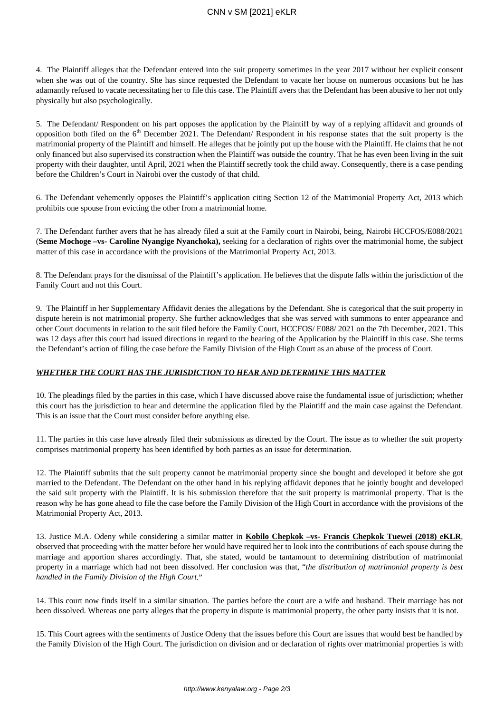# CNN v SM [2021] eKLR

4. The Plaintiff alleges that the Defendant entered into the suit property sometimes in the year 2017 without her explicit consent when she was out of the country. She has since requested the Defendant to vacate her house on numerous occasions but he has adamantly refused to vacate necessitating her to file this case. The Plaintiff avers that the Defendant has been abusive to her not only physically but also psychologically.

5. The Defendant/ Respondent on his part opposes the application by the Plaintiff by way of a replying affidavit and grounds of opposition both filed on the 6<sup>th</sup> December 2021. The Defendant/ Respondent in his response states that the suit property is the matrimonial property of the Plaintiff and himself. He alleges that he jointly put up the house with the Plaintiff. He claims that he not only financed but also supervised its construction when the Plaintiff was outside the country. That he has even been living in the suit property with their daughter, until April, 2021 when the Plaintiff secretly took the child away. Consequently, there is a case pending before the Children's Court in Nairobi over the custody of that child.

6. The Defendant vehemently opposes the Plaintiff's application citing Section 12 of the Matrimonial Property Act, 2013 which prohibits one spouse from evicting the other from a matrimonial home.

7. The Defendant further avers that he has already filed a suit at the Family court in Nairobi, being, Nairobi HCCFOS/E088/2021 (**Seme Mochoge –vs- Caroline Nyangige Nyanchoka),** seeking for a declaration of rights over the matrimonial home, the subject matter of this case in accordance with the provisions of the Matrimonial Property Act, 2013.

8. The Defendant prays for the dismissal of the Plaintiff's application. He believes that the dispute falls within the jurisdiction of the Family Court and not this Court.

9. The Plaintiff in her Supplementary Affidavit denies the allegations by the Defendant. She is categorical that the suit property in dispute herein is not matrimonial property. She further acknowledges that she was served with summons to enter appearance and other Court documents in relation to the suit filed before the Family Court, HCCFOS/ E088/ 2021 on the 7th December, 2021. This was 12 days after this court had issued directions in regard to the hearing of the Application by the Plaintiff in this case. She terms the Defendant's action of filing the case before the Family Division of the High Court as an abuse of the process of Court.

# *WHETHER THE COURT HAS THE JURISDICTION TO HEAR AND DETERMINE THIS MATTER*

10. The pleadings filed by the parties in this case, which I have discussed above raise the fundamental issue of jurisdiction; whether this court has the jurisdiction to hear and determine the application filed by the Plaintiff and the main case against the Defendant. This is an issue that the Court must consider before anything else.

11. The parties in this case have already filed their submissions as directed by the Court. The issue as to whether the suit property comprises matrimonial property has been identified by both parties as an issue for determination.

12. The Plaintiff submits that the suit property cannot be matrimonial property since she bought and developed it before she got married to the Defendant. The Defendant on the other hand in his replying affidavit depones that he jointly bought and developed the said suit property with the Plaintiff. It is his submission therefore that the suit property is matrimonial property. That is the reason why he has gone ahead to file the case before the Family Division of the High Court in accordance with the provisions of the Matrimonial Property Act, 2013.

13. Justice M.A. Odeny while considering a similar matter in **Kobilo Chepkok –vs- Francis Chepkok Tuewei (2018) eKLR**, observed that proceeding with the matter before her would have required her to look into the contributions of each spouse during the marriage and apportion shares accordingly. That, she stated, would be tantamount to determining distribution of matrimonial property in a marriage which had not been dissolved. Her conclusion was that, "*the distribution of matrimonial property is best handled in the Family Division of the High Court*."

14. This court now finds itself in a similar situation. The parties before the court are a wife and husband. Their marriage has not been dissolved. Whereas one party alleges that the property in dispute is matrimonial property, the other party insists that it is not.

15. This Court agrees with the sentiments of Justice Odeny that the issues before this Court are issues that would best be handled by the Family Division of the High Court. The jurisdiction on division and or declaration of rights over matrimonial properties is with